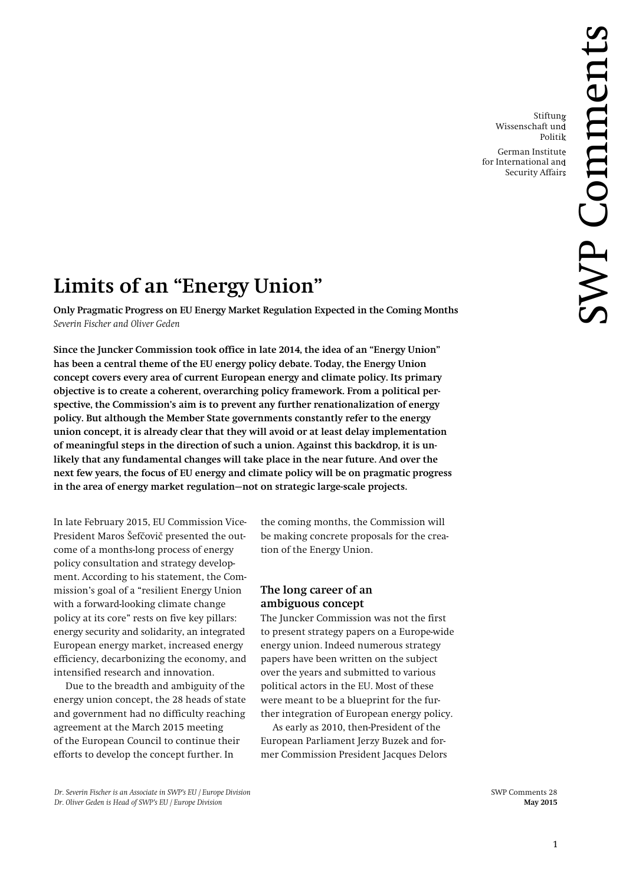Stiftung Wissenschaft und Politik German Institute for International and Security Affairs

# **Limits of an "Energy Union"**

**Only Pragmatic Progress on EU Energy Market Regulation Expected in the Coming Months** *Severin Fischer and Oliver Geden*

**Since the Juncker Commission took office in late 2014, the idea of an "Energy Union" has been a central theme of the EU energy policy debate. Today, the Energy Union concept covers every area of current European energy and climate policy. Its primary objective is to create a coherent, overarching policy framework. From a political perspective, the Commission's aim is to prevent any further renationalization of energy policy. But although the Member State governments constantly refer to the energy union concept, it is already clear that they will avoid or at least delay implementation of meaningful steps in the direction of such a union. Against this backdrop, it is unlikely that any fundamental changes will take place in the near future. And over the next few years, the focus of EU energy and climate policy will be on pragmatic progress in the area of energy market regulation—not on strategic large-scale projects.**

In late February 2015, EU Commission Vice-President Maros Šefčovič presented the outcome of a months-long process of energy policy consultation and strategy development. According to his statement, the Commission's goal of a "resilient Energy Union with a forward-looking climate change policy at its core" rests on five key pillars: energy security and solidarity, an integrated European energy market, increased energy efficiency, decarbonizing the economy, and intensified research and innovation.

Due to the breadth and ambiguity of the energy union concept, the 28 heads of state and government had no difficulty reaching agreement at the March 2015 meeting of the European Council to continue their efforts to develop the concept further. In

the coming months, the Commission will be making concrete proposals for the creation of the Energy Union.

## **The long career of an ambiguous concept**

The Juncker Commission was not the first to present strategy papers on a Europe-wide energy union. Indeed numerous strategy papers have been written on the subject over the years and submitted to various political actors in the EU. Most of these were meant to be a blueprint for the further integration of European energy policy.

As early as 2010, then-President of the European Parliament Jerzy Buzek and former Commission President Jacques Delors

*Dr. Severin Fischer is an Associate in SWP's EU / Europe Division* SWP Comments 28 *Dr. Oliver Geden is Head of SWP's EU / Europe Division* **May 2015**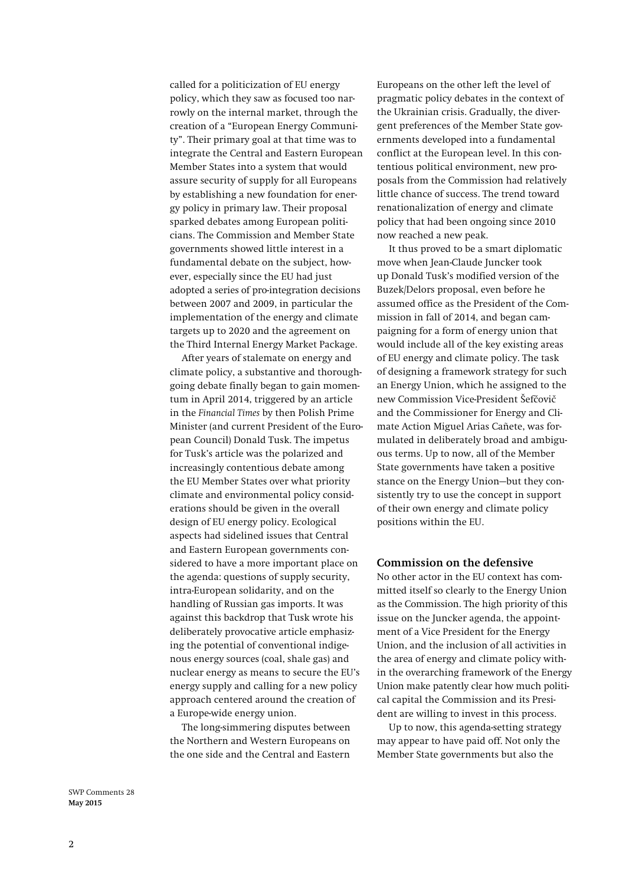called for a politicization of EU energy policy, which they saw as focused too narrowly on the internal market, through the creation of a "European Energy Community". Their primary goal at that time was to integrate the Central and Eastern European Member States into a system that would assure security of supply for all Europeans by establishing a new foundation for energy policy in primary law. Their proposal sparked debates among European politicians. The Commission and Member State governments showed little interest in a fundamental debate on the subject, however, especially since the EU had just adopted a series of pro-integration decisions between 2007 and 2009, in particular the implementation of the energy and climate targets up to 2020 and the agreement on the Third Internal Energy Market Package.

After years of stalemate on energy and climate policy, a substantive and thoroughgoing debate finally began to gain momentum in April 2014, triggered by an article in the *Financial Times* by then Polish Prime Minister (and current President of the European Council) Donald Tusk. The impetus for Tusk's article was the polarized and increasingly contentious debate among the EU Member States over what priority climate and environmental policy considerations should be given in the overall design of EU energy policy. Ecological aspects had sidelined issues that Central and Eastern European governments considered to have a more important place on the agenda: questions of supply security, intra-European solidarity, and on the handling of Russian gas imports. It was against this backdrop that Tusk wrote his deliberately provocative article emphasizing the potential of conventional indigenous energy sources (coal, shale gas) and nuclear energy as means to secure the EU's energy supply and calling for a new policy approach centered around the creation of a Europe-wide energy union.

The long-simmering disputes between the Northern and Western Europeans on the one side and the Central and Eastern

Europeans on the other left the level of pragmatic policy debates in the context of the Ukrainian crisis. Gradually, the divergent preferences of the Member State governments developed into a fundamental conflict at the European level. In this contentious political environment, new proposals from the Commission had relatively little chance of success. The trend toward renationalization of energy and climate policy that had been ongoing since 2010 now reached a new peak.

It thus proved to be a smart diplomatic move when Jean-Claude Juncker took up Donald Tusk's modified version of the Buzek/Delors proposal, even before he assumed office as the President of the Commission in fall of 2014, and began campaigning for a form of energy union that would include all of the key existing areas of EU energy and climate policy. The task of designing a framework strategy for such an Energy Union, which he assigned to the new Commission Vice-President Šefčovič and the Commissioner for Energy and Climate Action Miguel Arias Cañete, was formulated in deliberately broad and ambiguous terms. Up to now, all of the Member State governments have taken a positive stance on the Energy Union—but they consistently try to use the concept in support of their own energy and climate policy positions within the EU.

#### **Commission on the defensive**

No other actor in the EU context has committed itself so clearly to the Energy Union as the Commission. The high priority of this issue on the Juncker agenda, the appointment of a Vice President for the Energy Union, and the inclusion of all activities in the area of energy and climate policy within the overarching framework of the Energy Union make patently clear how much political capital the Commission and its President are willing to invest in this process.

Up to now, this agenda-setting strategy may appear to have paid off. Not only the Member State governments but also the

SWP Comments 28 **May 2015**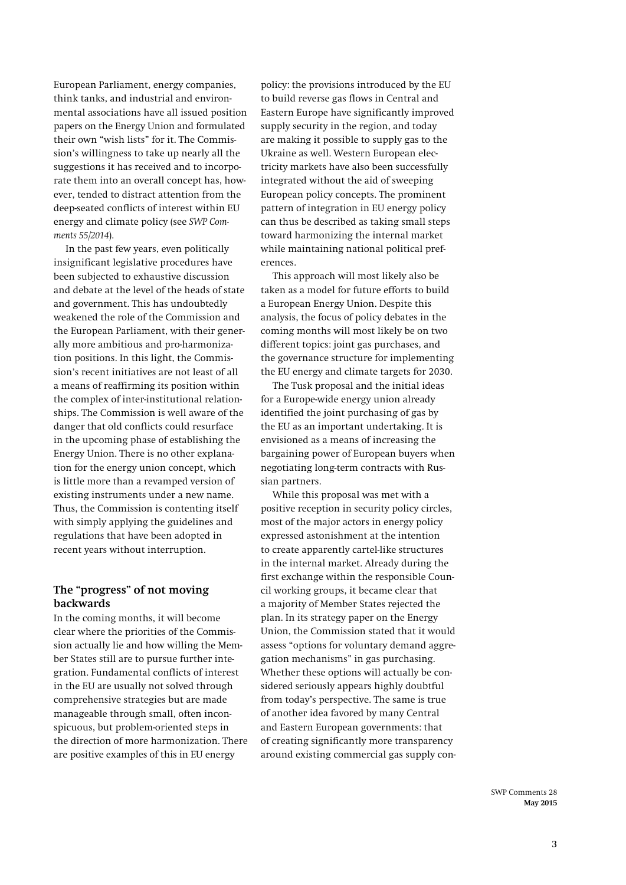European Parliament, energy companies, think tanks, and industrial and environmental associations have all issued position papers on the Energy Union and formulated their own "wish lists" for it. The Commission's willingness to take up nearly all the suggestions it has received and to incorporate them into an overall concept has, however, tended to distract attention from the deep-seated conflicts of interest within EU energy and climate policy (see *SWP Comments 55/2014*).

In the past few years, even politically insignificant legislative procedures have been subjected to exhaustive discussion and debate at the level of the heads of state and government. This has undoubtedly weakened the role of the Commission and the European Parliament, with their generally more ambitious and pro-harmonization positions. In this light, the Commission's recent initiatives are not least of all a means of reaffirming its position within the complex of inter-institutional relationships. The Commission is well aware of the danger that old conflicts could resurface in the upcoming phase of establishing the Energy Union. There is no other explanation for the energy union concept, which is little more than a revamped version of existing instruments under a new name. Thus, the Commission is contenting itself with simply applying the guidelines and regulations that have been adopted in recent years without interruption.

## **The "progress" of not moving backwards**

In the coming months, it will become clear where the priorities of the Commission actually lie and how willing the Member States still are to pursue further integration. Fundamental conflicts of interest in the EU are usually not solved through comprehensive strategies but are made manageable through small, often inconspicuous, but problem-oriented steps in the direction of more harmonization. There are positive examples of this in EU energy

policy: the provisions introduced by the EU to build reverse gas flows in Central and Eastern Europe have significantly improved supply security in the region, and today are making it possible to supply gas to the Ukraine as well. Western European electricity markets have also been successfully integrated without the aid of sweeping European policy concepts. The prominent pattern of integration in EU energy policy can thus be described as taking small steps toward harmonizing the internal market while maintaining national political preferences.

This approach will most likely also be taken as a model for future efforts to build a European Energy Union. Despite this analysis, the focus of policy debates in the coming months will most likely be on two different topics: joint gas purchases, and the governance structure for implementing the EU energy and climate targets for 2030.

The Tusk proposal and the initial ideas for a Europe-wide energy union already identified the joint purchasing of gas by the EU as an important undertaking. It is envisioned as a means of increasing the bargaining power of European buyers when negotiating long-term contracts with Russian partners.

While this proposal was met with a positive reception in security policy circles, most of the major actors in energy policy expressed astonishment at the intention to create apparently cartel-like structures in the internal market. Already during the first exchange within the responsible Council working groups, it became clear that a majority of Member States rejected the plan. In its strategy paper on the Energy Union, the Commission stated that it would assess "options for voluntary demand aggregation mechanisms" in gas purchasing. Whether these options will actually be considered seriously appears highly doubtful from today's perspective. The same is true of another idea favored by many Central and Eastern European governments: that of creating significantly more transparency around existing commercial gas supply con-

> SWP Comments 28 **May 2015**